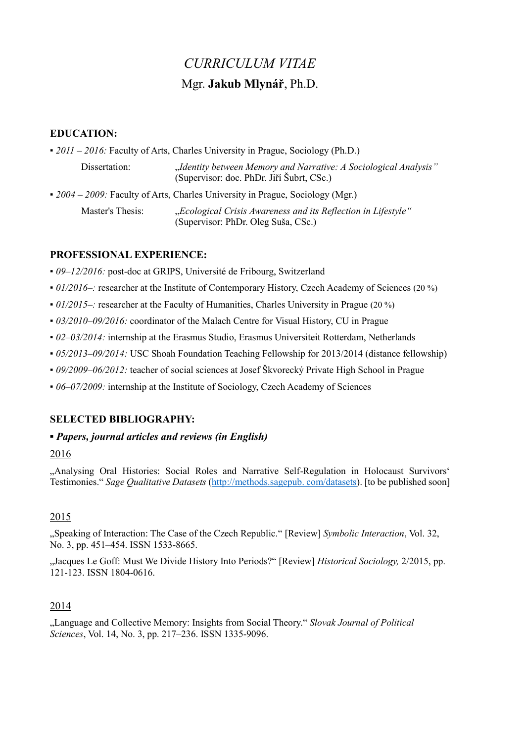# *CURRICULUM VITAE* Mgr. **Jakub Mlynář**, Ph.D.

# **EDUCATION:**

| $\bullet$ 2011 – 2016: Faculty of Arts, Charles University in Prague, Sociology (Ph.D.) |                                                                                                               |
|-----------------------------------------------------------------------------------------|---------------------------------------------------------------------------------------------------------------|
| Dissertation:                                                                           | "Identity between Memory and Narrative: A Sociological Analysis"<br>(Supervisor: doc. PhDr. Jiří Šubrt, CSc.) |
| • $2004 - 2009$ : Faculty of Arts, Charles University in Prague, Sociology (Mgr.)       |                                                                                                               |
| Master's Thesis:                                                                        | "Ecological Crisis Awareness and its Reflection in Lifestyle"<br>(Supervisor: PhDr. Oleg Suša, CSc.)          |

# **PROFESSIONAL EXPERIENCE:**

- *09–12/2016:* post-doc at GRIPS, Université de Fribourg, Switzerland
- *01/2016–:* researcher at the Institute of Contemporary History, Czech Academy of Sciences (20 %)
- *01/2015–:* researcher at the Faculty of Humanities, Charles University in Prague (20 %)
- *03/2010–09/2016:* coordinator of the Malach Centre for Visual History, CU in Prague
- *02–03/2014:* internship at the Erasmus Studio, Erasmus Universiteit Rotterdam, Netherlands
- *05/2013–09/2014:* USC Shoah Foundation Teaching Fellowship for 2013/2014 (distance fellowship)
- *▪ 09/2009–06/2012:* teacher of social sciences at Josef Škvorecký Private High School in Prague
- *▪ 06–07/2009:* internship at the Institute of Sociology, Czech Academy of Sciences

#### **SELECTED BIBLIOGRAPHY:**

#### *▪ Papers, journal articles and reviews (in English)*

#### 2016

"Analysing Oral Histories: Social Roles and Narrative Self-Regulation in Holocaust Survivors' Testimonies." *Sage Qualitative Datasets* (http://methods.sagepub. com/datasets). [to be published soon]

# 2015

["Speaking of Interaction: The Case of the Czech Republic."](http://onlinelibrary.wiley.com/doi/10.1002/symb.168/abstract) [Review] *Symbolic Interaction*, Vol. 32, No. 3, pp. 451–454. ISSN 1533-8665.

"Jacques Le Goff: Must We Divide History Into Periods?" [Review] *Historical Sociology,* 2/2015, pp. 121-123. ISSN 1804-0616.

# 2014

["Language and Collective Memory: Insights from Social Theory."](http://www.ceeol.de/aspx/issuedetails.aspx?issueid=6b72a79a-4a9f-4d06-a139-d8f6d9106c0b&articleId=abc15503-9316-4e36-8bbd-fbd130d4664e:) *Slovak Journal of Political Sciences*, Vol. 14, No. 3, pp. 217–236. ISSN 1335-9096.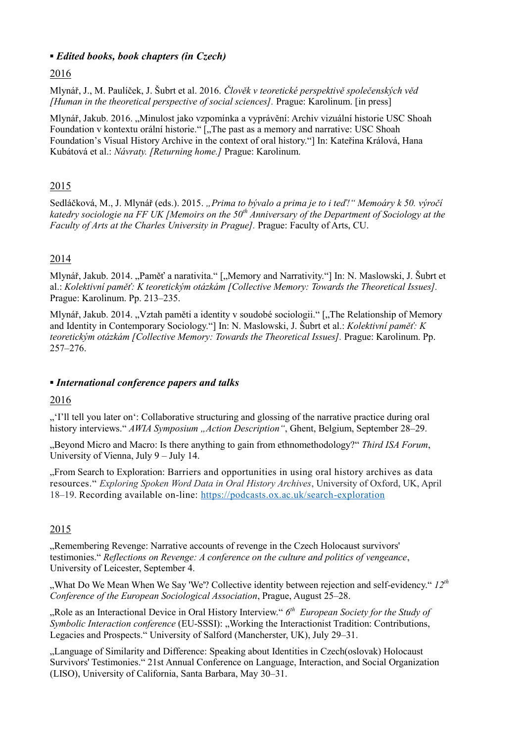# *▪ Edited books, book chapters (in Czech)*

# 2016

Mlynář, J., M. Paulíček, J. Šubrt et al. 2016. *Člověk v teoretické perspektivě společenských věd [Human in the theoretical perspective of social sciences].* Prague: Karolinum. [in press]

Mlynář, Jakub. 2016. "Minulost jako vzpomínka a vyprávění: Archiv vizuální historie USC Shoah Foundation v kontextu orální historie." ["The past as a memory and narrative: USC Shoah Foundation's Visual History Archive in the context of oral history."] In: Kateřina Králová, Hana Kubátová et al.: *Návraty. [Returning home.]* Prague: Karolinum.

# 2015

Sedláčková, M., J. Mlynář (eds.). 2015. "Prima to bývalo a prima je to i teď!" Memoáry k 50. výročí *katedry sociologie na FF UK [Memoirs on the 50th Anniversary of the Department of Sociology at the Faculty of Arts at the Charles University in Prague].* Prague: Faculty of Arts, CU.

# 2014

Mlynář, Jakub. 2014. "Paměť a narativita." ["Memory and Narrativity."] In: N. Maslowski, J. Šubrt et al.: *Kolektivní paměť: K teoretickým otázkám [Collective Memory: Towards the Theoretical Issues].*  Prague: Karolinum. Pp. 213–235.

Mlynář, Jakub. 2014. "Vztah paměti a identity v soudobé sociologii." ["The Relationship of Memory and Identity in Contemporary Sociology."] In: N. Maslowski, J. Šubrt et al.: *Kolektivní paměť: K teoretickým otázkám [Collective Memory: Towards the Theoretical Issues].* Prague: Karolinum. Pp. 257–276.

#### *▪ International conference papers and talks*

#### 2016

""I'll tell you later on": Collaborative structuring and glossing of the narrative practice during oral" history interviews." *AWIA Symposium "Action Description*", Ghent, Belgium, September 28–29.

"Beyond Micro and Macro: Is there anything to gain from ethnomethodology?" *Third ISA Forum*, University of Vienna, July 9 – July 14.

"From Search to Exploration: Barriers and opportunities in using oral history archives as data resources." *Exploring Spoken Word Data in Oral History Archives*, University of Oxford, UK, April 18–19. Recording available on-line:<https://podcasts.ox.ac.uk/search-exploration>

# 2015

"Remembering Revenge: Narrative accounts of revenge in the Czech Holocaust survivors. testimonies." *Reflections on Revenge: A conference on the culture and politics of vengeance*, University of Leicester, September 4.

"What Do We Mean When We Say 'We'? Collective identity between rejection and self-evidency." *12th Conference of the European Sociological Association*, Prague, August 25–28.

"Role as an Interactional Device in Oral History Interview."  $6<sup>th</sup>$  *European Society for the Study of Symbolic Interaction conference* (EU-SSSI): "Working the Interactionist Tradition: Contributions, Legacies and Prospects." University of Salford (Mancherster, UK), July 29–31.

"Language of Similarity and Difference: Speaking about Identities in Czech(oslovak) Holocaust Survivors' Testimonies." 21st Annual Conference on Language, Interaction, and Social Organization (LISO), University of California, Santa Barbara, May 30–31.